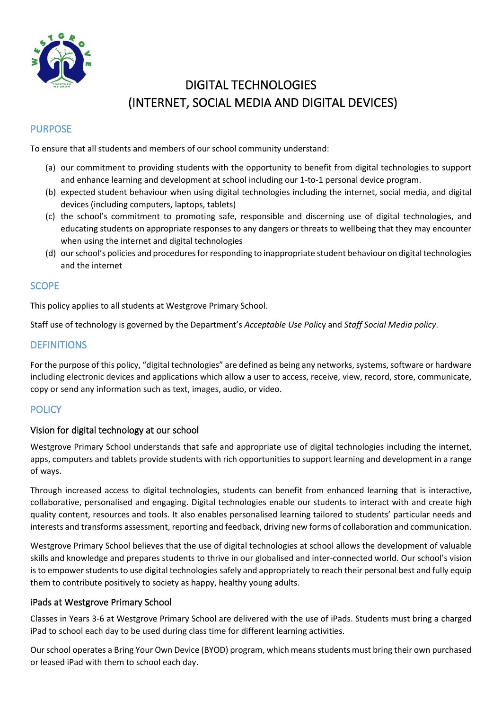

# DIGITAL TECHNOLOGIES (INTERNET, SOCIAL MEDIA AND DIGITAL DEVICES)

## PURPOSE

To ensure that all students and members of our school community understand:

- (a) our commitment to providing students with the opportunity to benefit from digital technologies to support and enhance learning and development at school including our 1-to-1 personal device program.
- (b) expected student behaviour when using digital technologies including the internet, social media, and digital devices (including computers, laptops, tablets)
- (c) the school's commitment to promoting safe, responsible and discerning use of digital technologies, and educating students on appropriate responses to any dangers or threats to wellbeing that they may encounter when using the internet and digital technologies
- (d) our school's policies and procedures for responding to inappropriate student behaviour on digital technologies and the internet

## **SCOPE**

This policy applies to all students at Westgrove Primary School.

Staff use of technology is governed by the Department's *Acceptable Use Poli*cy and *Staff Social Media policy*.

#### **DEFINITIONS**

For the purpose of this policy, "digital technologies" are defined as being any networks, systems, software or hardware including electronic devices and applications which allow a user to access, receive, view, record, store, communicate, copy or send any information such as text, images, audio, or video.

## **POLICY**

#### Vision for digital technology at our school

Westgrove Primary School understands that safe and appropriate use of digital technologies including the internet, apps, computers and tablets provide students with rich opportunities to support learning and development in a range of ways.

Through increased access to digital technologies, students can benefit from enhanced learning that is interactive, collaborative, personalised and engaging. Digital technologies enable our students to interact with and create high quality content, resources and tools. It also enables personalised learning tailored to students' particular needs and interests and transforms assessment, reporting and feedback, driving new forms of collaboration and communication.

Westgrove Primary School believes that the use of digital technologies at school allows the development of valuable skills and knowledge and prepares students to thrive in our globalised and inter-connected world. Our school's vision is to empower students to use digital technologies safely and appropriately to reach their personal best and fully equip them to contribute positively to society as happy, healthy young adults.

#### iPads at Westgrove Primary School

Classes in Years 3-6 at Westgrove Primary School are delivered with the use of iPads. Students must bring a charged iPad to school each day to be used during class time for different learning activities.

Our school operates a Bring Your Own Device (BYOD) program, which means students must bring their own purchased or leased iPad with them to school each day.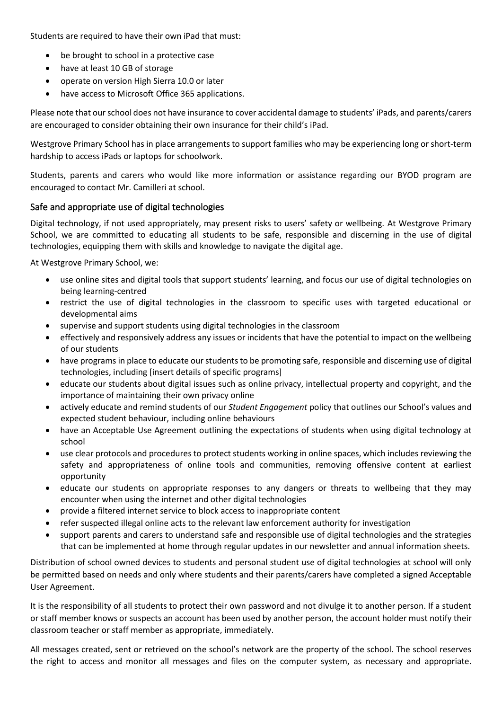Students are required to have their own iPad that must:

- be brought to school in a protective case
- have at least 10 GB of storage
- operate on version High Sierra 10.0 or later
- have access to Microsoft Office 365 applications.

Please note that our school does not have insurance to cover accidental damage to students' iPads, and parents/carers are encouraged to consider obtaining their own insurance for their child's iPad.

Westgrove Primary School has in place arrangements to support families who may be experiencing long or short-term hardship to access iPads or laptops for schoolwork.

Students, parents and carers who would like more information or assistance regarding our BYOD program are encouraged to contact Mr. Camilleri at school.

#### Safe and appropriate use of digital technologies

Digital technology, if not used appropriately, may present risks to users' safety or wellbeing. At Westgrove Primary School, we are committed to educating all students to be safe, responsible and discerning in the use of digital technologies, equipping them with skills and knowledge to navigate the digital age.

At Westgrove Primary School, we:

- use online sites and digital tools that support students' learning, and focus our use of digital technologies on being learning-centred
- restrict the use of digital technologies in the classroom to specific uses with targeted educational or developmental aims
- supervise and support students using digital technologies in the classroom
- effectively and responsively address any issues or incidents that have the potential to impact on the wellbeing of our students
- have programs in place to educate our students to be promoting safe, responsible and discerning use of digital technologies, including [insert details of specific programs]
- educate our students about digital issues such as online privacy, intellectual property and copyright, and the importance of maintaining their own privacy online
- actively educate and remind students of our *Student Engagement* policy that outlines our School's values and expected student behaviour, including online behaviours
- have an Acceptable Use Agreement outlining the expectations of students when using digital technology at school
- use clear protocols and procedures to protect students working in online spaces, which includes reviewing the safety and appropriateness of online tools and communities, removing offensive content at earliest opportunity
- educate our students on appropriate responses to any dangers or threats to wellbeing that they may encounter when using the internet and other digital technologies
- provide a filtered internet service to block access to inappropriate content
- refer suspected illegal online acts to the relevant law enforcement authority for investigation
- support parents and carers to understand safe and responsible use of digital technologies and the strategies that can be implemented at home through regular updates in our newsletter and annual information sheets.

Distribution of school owned devices to students and personal student use of digital technologies at school will only be permitted based on needs and only where students and their parents/carers have completed a signed Acceptable User Agreement.

It is the responsibility of all students to protect their own password and not divulge it to another person. If a student or staff member knows or suspects an account has been used by another person, the account holder must notify their classroom teacher or staff member as appropriate, immediately.

All messages created, sent or retrieved on the school's network are the property of the school. The school reserves the right to access and monitor all messages and files on the computer system, as necessary and appropriate.